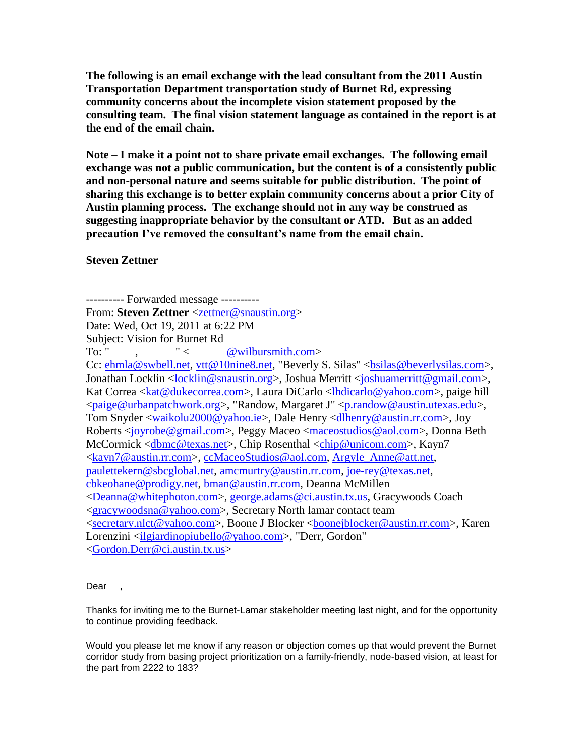**The following is an email exchange with the lead consultant from the 2011 Austin Transportation Department transportation study of Burnet Rd, expressing community concerns about the incomplete vision statement proposed by the consulting team. The final vision statement language as contained in the report is at the end of the email chain.**

**Note – I make it a point not to share private email exchanges. The following email exchange was not a public communication, but the content is of a consistently public and non-personal nature and seems suitable for public distribution. The point of sharing this exchange is to better explain community concerns about a prior City of Austin planning process. The exchange should not in any way be construed as suggesting inappropriate behavior by the consultant or ATD. But as an added precaution I've removed the consultant's name from the email chain.**

**Steven Zettner**

---------- Forwarded message ---------- From: **Steven Zettner** [<zettner@snaustin.org>](mailto:zettner@snaustin.org) Date: Wed, Oct 19, 2011 at 6:22 PM Subject: Vision for Burnet Rd To: " ,  $"$  <  $@$  wilbursmith.com> Cc: [ehmla@swbell.net,](mailto:ehmla@swbell.net) [vtt@10nine8.net,](mailto:vtt@10nine8.net) "Beverly S. Silas" <br/>bsilas@beverlysilas.com>, Jonathan Locklin [<locklin@snaustin.org>](mailto:locklin@snaustin.org), Joshua Merritt [<joshuamerritt@gmail.com>](mailto:joshuamerritt@gmail.com), Kat Correa [<kat@dukecorrea.com>](mailto:kat@dukecorrea.com), Laura DiCarlo [<lhdicarlo@yahoo.com>](mailto:lhdicarlo@yahoo.com), paige hill [<paige@urbanpatchwork.org>](mailto:paige@urbanpatchwork.org), "Randow, Margaret J" [<p.randow@austin.utexas.edu>](mailto:p.randow@austin.utexas.edu), Tom Snyder [<waikolu2000@yahoo.ie>](mailto:waikolu2000@yahoo.ie), Dale Henry [<dlhenry@austin.rr.com>](mailto:dlhenry@austin.rr.com), Joy Roberts [<joyrobe@gmail.com>](mailto:joyrobe@gmail.com), Peggy Maceo [<maceostudios@aol.com>](mailto:maceostudios@aol.com), Donna Beth McCormick [<dbmc@texas.net>](mailto:dbmc@texas.net), Chip Rosenthal [<chip@unicom.com>](mailto:chip@unicom.com), Kayn7 [<kayn7@austin.rr.com>](mailto:kayn7@austin.rr.com), [ccMaceoStudios@aol.com,](mailto:ccMaceoStudios@aol.com) [Argyle\\_Anne@att.net,](mailto:Argyle_Anne@att.net) [paulettekern@sbcglobal.net,](mailto:paulettekern@sbcglobal.net) [amcmurtry@austin.rr.com,](mailto:amcmurtry@austin.rr.com) [joe-rey@texas.net,](mailto:joe-rey@texas.net) [cbkeohane@prodigy.net,](mailto:cbkeohane@prodigy.net) [bman@austin.rr.com,](mailto:bman@austin.rr.com) Deanna McMillen [<Deanna@whitephoton.com>](mailto:Deanna@whitephoton.com), [george.adams@ci.austin.tx.us,](mailto:george.adams@ci.austin.tx.us) Gracywoods Coach [<gracywoodsna@yahoo.com>](mailto:gracywoodsna@yahoo.com), Secretary North lamar contact team [<secretary.nlct@yahoo.com>](mailto:secretary.nlct@yahoo.com), Boone J Blocker [<boonejblocker@austin.rr.com>](mailto:boonejblocker@austin.rr.com), Karen Lorenzini [<ilgiardinopiubello@yahoo.com>](mailto:ilgiardinopiubello@yahoo.com), "Derr, Gordon" [<Gordon.Derr@ci.austin.tx.us>](mailto:Gordon.Derr@ci.austin.tx.us)

## Dear

Thanks for inviting me to the Burnet-Lamar stakeholder meeting last night, and for the opportunity to continue providing feedback.

Would you please let me know if any reason or objection comes up that would prevent the Burnet corridor study from basing project prioritization on a family-friendly, node-based vision, at least for the part from 2222 to 183?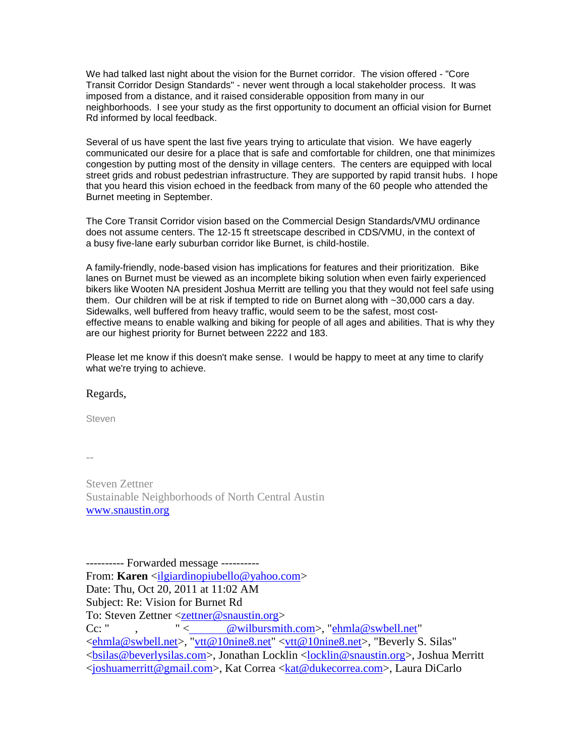We had talked last night about the vision for the Burnet corridor. The vision offered - "Core Transit Corridor Design Standards" - never went through a local stakeholder process. It was imposed from a distance, and it raised considerable opposition from many in our neighborhoods. I see your study as the first opportunity to document an official vision for Burnet Rd informed by local feedback.

Several of us have spent the last five years trying to articulate that vision. We have eagerly communicated our desire for a place that is safe and comfortable for children, one that minimizes congestion by putting most of the density in village centers. The centers are equipped with local street grids and robust pedestrian infrastructure. They are supported by rapid transit hubs. I hope that you heard this vision echoed in the feedback from many of the 60 people who attended the Burnet meeting in September.

The Core Transit Corridor vision based on the Commercial Design Standards/VMU ordinance does not assume centers. The 12-15 ft streetscape described in CDS/VMU, in the context of a busy five-lane early suburban corridor like Burnet, is child-hostile.

A family-friendly, node-based vision has implications for features and their prioritization. Bike lanes on Burnet must be viewed as an incomplete biking solution when even fairly experienced bikers like Wooten NA president Joshua Merritt are telling you that they would not feel safe using them. Our children will be at risk if tempted to ride on Burnet along with ~30,000 cars a day. Sidewalks, well buffered from heavy traffic, would seem to be the safest, most costeffective means to enable walking and biking for people of all ages and abilities. That is why they are our highest priority for Burnet between 2222 and 183.

Please let me know if this doesn't make sense. I would be happy to meet at any time to clarify what we're trying to achieve.

## Regards,

Steven

--

Steven Zettner Sustainable Neighborhoods of North Central Austin [www.snaustin.org](http://www.snaustin.org/)

---------- Forwarded message ---------- From: **Karen** [<ilgiardinopiubello@yahoo.com>](mailto:ilgiardinopiubello@yahoo.com) Date: Thu, Oct 20, 2011 at 11:02 AM Subject: Re: Vision for Burnet Rd To: Steven Zettner [<zettner@snaustin.org>](mailto:zettner@snaustin.org) Cc: ", "[< @wilbursmith.com>](mailto:KOKYERE@wilbursmith.com), ["ehmla@swbell.net"](mailto:ehmla@swbell.net) [<ehmla@swbell.net>](mailto:ehmla@swbell.net), ["vtt@10nine8.net"](mailto:vtt@10nine8.net) [<vtt@10nine8.net>](mailto:vtt@10nine8.net), "Beverly S. Silas" [<bsilas@beverlysilas.com>](mailto:bsilas@beverlysilas.com), Jonathan Locklin [<locklin@snaustin.org>](mailto:locklin@snaustin.org), Joshua Merritt [<joshuamerritt@gmail.com>](mailto:joshuamerritt@gmail.com), Kat Correa [<kat@dukecorrea.com>](mailto:kat@dukecorrea.com), Laura DiCarlo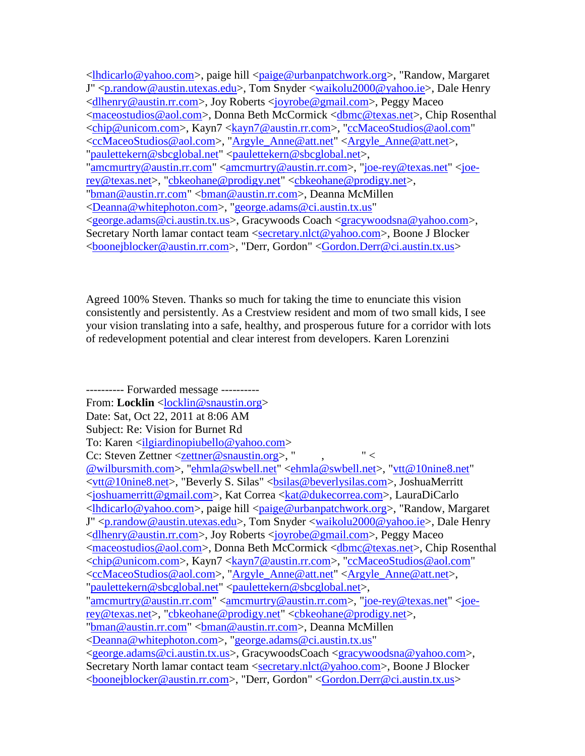[<lhdicarlo@yahoo.com>](mailto:lhdicarlo@yahoo.com), paige hill [<paige@urbanpatchwork.org>](mailto:paige@urbanpatchwork.org), "Randow, Margaret J" [<p.randow@austin.utexas.edu>](mailto:p.randow@austin.utexas.edu), Tom Snyder [<waikolu2000@yahoo.ie>](mailto:waikolu2000@yahoo.ie), Dale Henry [<dlhenry@austin.rr.com>](mailto:dlhenry@austin.rr.com), Joy Roberts [<joyrobe@gmail.com>](mailto:joyrobe@gmail.com), Peggy Maceo [<maceostudios@aol.com>](mailto:maceostudios@aol.com), Donna Beth McCormick [<dbmc@texas.net>](mailto:dbmc@texas.net), Chip Rosenthal [<chip@unicom.com>](mailto:chip@unicom.com), Kayn7 [<kayn7@austin.rr.com>](mailto:kayn7@austin.rr.com), ["ccMaceoStudios@aol.com"](mailto:ccMaceoStudios@aol.com) [<ccMaceoStudios@aol.com>](mailto:ccMaceoStudios@aol.com), ["Argyle\\_Anne@att.net"](mailto:Argyle_Anne@att.net) [<Argyle\\_Anne@att.net>](mailto:Argyle_Anne@att.net), ["paulettekern@sbcglobal.net"](mailto:paulettekern@sbcglobal.net) [<paulettekern@sbcglobal.net>](mailto:paulettekern@sbcglobal.net), ["amcmurtry@austin.rr.com"](mailto:amcmurtry@austin.rr.com) [<amcmurtry@austin.rr.com>](mailto:amcmurtry@austin.rr.com), ["joe-rey@texas.net"](mailto:joe-rey@texas.net) [<joe](mailto:joe-rey@texas.net)[rey@texas.net>](mailto:joe-rey@texas.net), ["cbkeohane@prodigy.net"](mailto:cbkeohane@prodigy.net) [<cbkeohane@prodigy.net>](mailto:cbkeohane@prodigy.net), ["bman@austin.rr.com"](mailto:bman@austin.rr.com) [<bman@austin.rr.com>](mailto:bman@austin.rr.com), Deanna McMillen [<Deanna@whitephoton.com>](mailto:Deanna@whitephoton.com), ["george.adams@ci.austin.tx.us"](mailto:george.adams@ci.austin.tx.us) [<george.adams@ci.austin.tx.us>](mailto:george.adams@ci.austin.tx.us), Gracywoods Coach [<gracywoodsna@yahoo.com>](mailto:gracywoodsna@yahoo.com), Secretary North lamar contact team [<secretary.nlct@yahoo.com>](mailto:secretary.nlct@yahoo.com), Boone J Blocker [<boonejblocker@austin.rr.com>](mailto:boonejblocker@austin.rr.com), "Derr, Gordon" [<Gordon.Derr@ci.austin.tx.us>](mailto:Gordon.Derr@ci.austin.tx.us)

Agreed 100% Steven. Thanks so much for taking the time to enunciate this vision consistently and persistently. As a Crestview resident and mom of two small kids, I see your vision translating into a safe, healthy, and prosperous future for a corridor with lots of redevelopment potential and clear interest from developers. Karen Lorenzini

---------- Forwarded message ---------- From: **Locklin** <*locklin@snaustin.org>* Date: Sat, Oct 22, 2011 at 8:06 AM Subject: Re: Vision for Burnet Rd To: Karen [<ilgiardinopiubello@yahoo.com>](mailto:ilgiardinopiubello@yahoo.com) Cc: Steven Zettner  $\leq$ zettner@snaustin.org>, ", "  $\lt$ [@wilbursmith.com>](mailto:KOKYERE@wilbursmith.com), ["ehmla@swbell.net"](mailto:ehmla@swbell.net) [<ehmla@swbell.net>](mailto:ehmla@swbell.net), ["vtt@10nine8.net"](mailto:vtt@10nine8.net) [<vtt@10nine8.net>](mailto:vtt@10nine8.net), "Beverly S. Silas" [<bsilas@beverlysilas.com>](mailto:bsilas@beverlysilas.com), JoshuaMerritt [<joshuamerritt@gmail.com>](mailto:joshuamerritt@gmail.com), Kat Correa [<kat@dukecorrea.com>](mailto:kat@dukecorrea.com), LauraDiCarlo [<lhdicarlo@yahoo.com>](mailto:lhdicarlo@yahoo.com), paige hill [<paige@urbanpatchwork.org>](mailto:paige@urbanpatchwork.org), "Randow, Margaret J" [<p.randow@austin.utexas.edu>](mailto:p.randow@austin.utexas.edu), Tom Snyder [<waikolu2000@yahoo.ie>](mailto:waikolu2000@yahoo.ie), Dale Henry [<dlhenry@austin.rr.com>](mailto:dlhenry@austin.rr.com), Joy Roberts [<joyrobe@gmail.com>](mailto:joyrobe@gmail.com), Peggy Maceo [<maceostudios@aol.com>](mailto:maceostudios@aol.com), Donna Beth McCormick [<dbmc@texas.net>](mailto:dbmc@texas.net), Chip Rosenthal [<chip@unicom.com>](mailto:chip@unicom.com), Kayn7 [<kayn7@austin.rr.com>](mailto:kayn7@austin.rr.com), ["ccMaceoStudios@aol.com"](mailto:ccMaceoStudios@aol.com) [<ccMaceoStudios@aol.com>](mailto:ccMaceoStudios@aol.com), ["Argyle\\_Anne@att.net"](mailto:Argyle_Anne@att.net) [<Argyle\\_Anne@att.net>](mailto:Argyle_Anne@att.net), ["paulettekern@sbcglobal.net"](mailto:paulettekern@sbcglobal.net) [<paulettekern@sbcglobal.net>](mailto:paulettekern@sbcglobal.net), ["amcmurtry@austin.rr.com"](mailto:amcmurtry@austin.rr.com) [<amcmurtry@austin.rr.com>](mailto:amcmurtry@austin.rr.com), ["joe-rey@texas.net"](mailto:joe-rey@texas.net) [<joe](mailto:joe-rey@texas.net)[rey@texas.net>](mailto:joe-rey@texas.net), ["cbkeohane@prodigy.net"](mailto:cbkeohane@prodigy.net) [<cbkeohane@prodigy.net>](mailto:cbkeohane@prodigy.net), ["bman@austin.rr.com"](mailto:bman@austin.rr.com) [<bman@austin.rr.com>](mailto:bman@austin.rr.com), Deanna McMillen [<Deanna@whitephoton.com>](mailto:Deanna@whitephoton.com), ["george.adams@ci.austin.tx.us"](mailto:george.adams@ci.austin.tx.us) [<george.adams@ci.austin.tx.us>](mailto:george.adams@ci.austin.tx.us), GracywoodsCoach [<gracywoodsna@yahoo.com>](mailto:gracywoodsna@yahoo.com), Secretary North lamar contact team [<secretary.nlct@yahoo.com>](mailto:secretary.nlct@yahoo.com), Boone J Blocker [<boonejblocker@austin.rr.com>](mailto:boonejblocker@austin.rr.com), "Derr, Gordon" [<Gordon.Derr@ci.austin.tx.us>](mailto:Gordon.Derr@ci.austin.tx.us)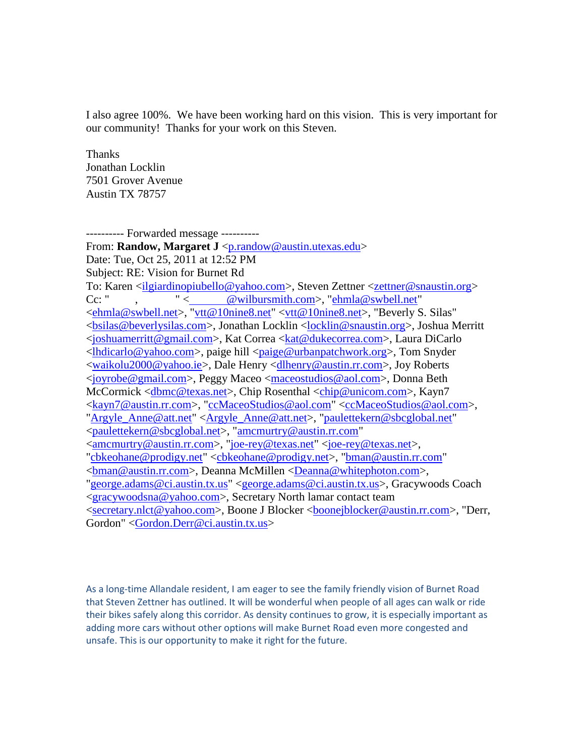I also agree 100%. We have been working hard on this vision. This is very important for our community! Thanks for your work on this Steven.

Thanks Jonathan Locklin 7501 Grover Avenue Austin TX 78757

---------- Forwarded message ---------- From: Randow, Margaret J [<p.randow@austin.utexas.edu>](mailto:p.randow@austin.utexas.edu) Date: Tue, Oct 25, 2011 at 12:52 PM Subject: RE: Vision for Burnet Rd To: Karen [<ilgiardinopiubello@yahoo.com>](mailto:ilgiardinopiubello@yahoo.com), Steven Zettner [<zettner@snaustin.org>](mailto:zettner@snaustin.org) Cc: " , " [< @wilbursmith.com>](mailto:KOKYERE@wilbursmith.com), ["ehmla@swbell.net"](mailto:ehmla@swbell.net) [<ehmla@swbell.net>](mailto:ehmla@swbell.net), ["vtt@10nine8.net"](mailto:vtt@10nine8.net) [<vtt@10nine8.net>](mailto:vtt@10nine8.net), "Beverly S. Silas" [<bsilas@beverlysilas.com>](mailto:bsilas@beverlysilas.com), Jonathan Locklin [<locklin@snaustin.org>](mailto:locklin@snaustin.org), Joshua Merritt [<joshuamerritt@gmail.com>](mailto:joshuamerritt@gmail.com), Kat Correa [<kat@dukecorrea.com>](mailto:kat@dukecorrea.com), Laura DiCarlo [<lhdicarlo@yahoo.com>](mailto:lhdicarlo@yahoo.com), paige hill [<paige@urbanpatchwork.org>](mailto:paige@urbanpatchwork.org), Tom Snyder [<waikolu2000@yahoo.ie>](mailto:waikolu2000@yahoo.ie), Dale Henry [<dlhenry@austin.rr.com>](mailto:dlhenry@austin.rr.com), Joy Roberts [<joyrobe@gmail.com>](mailto:joyrobe@gmail.com), Peggy Maceo [<maceostudios@aol.com>](mailto:maceostudios@aol.com), Donna Beth McCormick [<dbmc@texas.net>](mailto:dbmc@texas.net), Chip Rosenthal [<chip@unicom.com>](mailto:chip@unicom.com), Kayn7 [<kayn7@austin.rr.com>](mailto:kayn7@austin.rr.com), ["ccMaceoStudios@aol.com"](mailto:ccMaceoStudios@aol.com) [<ccMaceoStudios@aol.com>](mailto:ccMaceoStudios@aol.com), ["Argyle\\_Anne@att.net"](mailto:Argyle_Anne@att.net) [<Argyle\\_Anne@att.net>](mailto:Argyle_Anne@att.net), ["paulettekern@sbcglobal.net"](mailto:paulettekern@sbcglobal.net) [<paulettekern@sbcglobal.net>](mailto:paulettekern@sbcglobal.net), ["amcmurtry@austin.rr.com"](mailto:amcmurtry@austin.rr.com) [<amcmurtry@austin.rr.com>](mailto:amcmurtry@austin.rr.com), ["joe-rey@texas.net"](mailto:joe-rey@texas.net) [<joe-rey@texas.net>](mailto:joe-rey@texas.net), ["cbkeohane@prodigy.net"](mailto:cbkeohane@prodigy.net) [<cbkeohane@prodigy.net>](mailto:cbkeohane@prodigy.net), ["bman@austin.rr.com"](mailto:bman@austin.rr.com) [<bman@austin.rr.com>](mailto:bman@austin.rr.com), Deanna McMillen [<Deanna@whitephoton.com>](mailto:Deanna@whitephoton.com), ["george.adams@ci.austin.tx.us"](mailto:george.adams@ci.austin.tx.us) [<george.adams@ci.austin.tx.us>](mailto:george.adams@ci.austin.tx.us), Gracywoods Coach [<gracywoodsna@yahoo.com>](mailto:gracywoodsna@yahoo.com), Secretary North lamar contact team [<secretary.nlct@yahoo.com>](mailto:secretary.nlct@yahoo.com), Boone J Blocker [<boonejblocker@austin.rr.com>](mailto:boonejblocker@austin.rr.com), "Derr, Gordon" [<Gordon.Derr@ci.austin.tx.us>](mailto:Gordon.Derr@ci.austin.tx.us)

As a long-time Allandale resident, I am eager to see the family friendly vision of Burnet Road that Steven Zettner has outlined. It will be wonderful when people of all ages can walk or ride their bikes safely along this corridor. As density continues to grow, it is especially important as adding more cars without other options will make Burnet Road even more congested and unsafe. This is our opportunity to make it right for the future.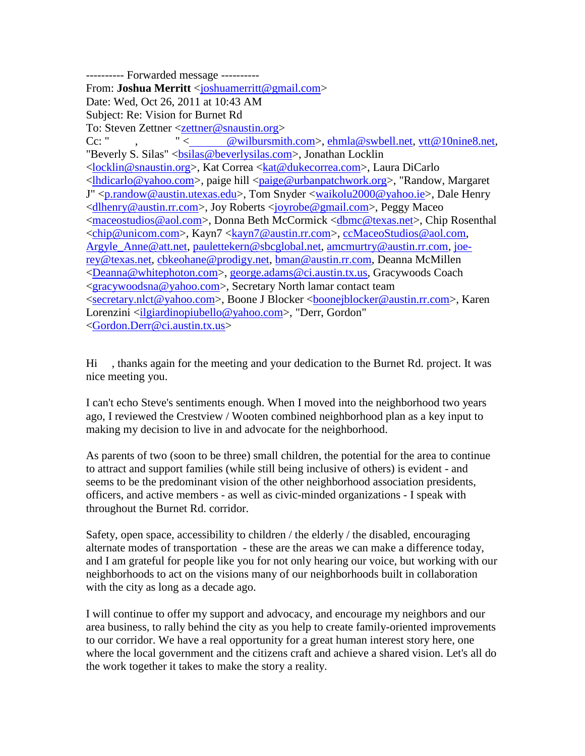---------- Forwarded message ---------- From: **Joshua Merritt** [<joshuamerritt@gmail.com>](mailto:joshuamerritt@gmail.com) Date: Wed, Oct 26, 2011 at 10:43 AM Subject: Re: Vision for Burnet Rd To: Steven Zettner [<zettner@snaustin.org>](mailto:zettner@snaustin.org) Cc: " , " [< @wilbursmith.com>](mailto:KOKYERE@wilbursmith.com), [ehmla@swbell.net,](mailto:ehmla@swbell.net) [vtt@10nine8.net,](mailto:vtt@10nine8.net) "Beverly S. Silas" < $bsilas@beverlysilas.com$ >, Jonathan Locklin [<locklin@snaustin.org>](mailto:locklin@snaustin.org), Kat Correa [<kat@dukecorrea.com>](mailto:kat@dukecorrea.com), Laura DiCarlo [<lhdicarlo@yahoo.com>](mailto:lhdicarlo@yahoo.com), paige hill [<paige@urbanpatchwork.org>](mailto:paige@urbanpatchwork.org), "Randow, Margaret J" [<p.randow@austin.utexas.edu>](mailto:p.randow@austin.utexas.edu), Tom Snyder [<waikolu2000@yahoo.ie>](mailto:waikolu2000@yahoo.ie), Dale Henry [<dlhenry@austin.rr.com>](mailto:dlhenry@austin.rr.com), Joy Roberts [<joyrobe@gmail.com>](mailto:joyrobe@gmail.com), Peggy Maceo [<maceostudios@aol.com>](mailto:maceostudios@aol.com), Donna Beth McCormick [<dbmc@texas.net>](mailto:dbmc@texas.net), Chip Rosenthal [<chip@unicom.com>](mailto:chip@unicom.com), Kayn7 [<kayn7@austin.rr.com>](mailto:kayn7@austin.rr.com), [ccMaceoStudios@aol.com,](mailto:ccMaceoStudios@aol.com) [Argyle\\_Anne@att.net,](mailto:Argyle_Anne@att.net) [paulettekern@sbcglobal.net,](mailto:paulettekern@sbcglobal.net) [amcmurtry@austin.rr.com,](mailto:amcmurtry@austin.rr.com) [joe](mailto:joe-rey@texas.net)[rey@texas.net,](mailto:joe-rey@texas.net) [cbkeohane@prodigy.net,](mailto:cbkeohane@prodigy.net) [bman@austin.rr.com,](mailto:bman@austin.rr.com) Deanna McMillen [<Deanna@whitephoton.com>](mailto:Deanna@whitephoton.com), [george.adams@ci.austin.tx.us,](mailto:george.adams@ci.austin.tx.us) Gracywoods Coach [<gracywoodsna@yahoo.com>](mailto:gracywoodsna@yahoo.com), Secretary North lamar contact team [<secretary.nlct@yahoo.com>](mailto:secretary.nlct@yahoo.com), Boone J Blocker [<boonejblocker@austin.rr.com>](mailto:boonejblocker@austin.rr.com), Karen Lorenzini [<ilgiardinopiubello@yahoo.com>](mailto:ilgiardinopiubello@yahoo.com), "Derr, Gordon" [<Gordon.Derr@ci.austin.tx.us>](mailto:Gordon.Derr@ci.austin.tx.us)

Hi , thanks again for the meeting and your dedication to the Burnet Rd. project. It was nice meeting you.

I can't echo Steve's sentiments enough. When I moved into the neighborhood two years ago, I reviewed the Crestview / Wooten combined neighborhood plan as a key input to making my decision to live in and advocate for the neighborhood.

As parents of two (soon to be three) small children, the potential for the area to continue to attract and support families (while still being inclusive of others) is evident - and seems to be the predominant vision of the other neighborhood association presidents, officers, and active members - as well as civic-minded organizations - I speak with throughout the Burnet Rd. corridor.

Safety, open space, accessibility to children / the elderly / the disabled, encouraging alternate modes of transportation - these are the areas we can make a difference today, and I am grateful for people like you for not only hearing our voice, but working with our neighborhoods to act on the visions many of our neighborhoods built in collaboration with the city as long as a decade ago.

I will continue to offer my support and advocacy, and encourage my neighbors and our area business, to rally behind the city as you help to create family-oriented improvements to our corridor. We have a real opportunity for a great human interest story here, one where the local government and the citizens craft and achieve a shared vision. Let's all do the work together it takes to make the story a reality.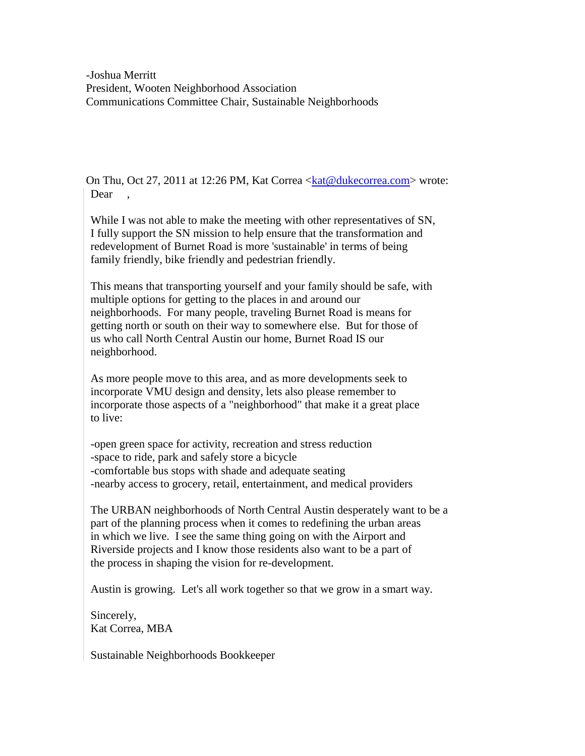-Joshua Merritt President, Wooten Neighborhood Association Communications Committee Chair, Sustainable Neighborhoods

On Thu, Oct 27, 2011 at 12:26 PM, Kat Correa [<kat@dukecorrea.com>](mailto:kat@dukecorrea.com) wrote: Dear

While I was not able to make the meeting with other representatives of SN, I fully support the SN mission to help ensure that the transformation and redevelopment of Burnet Road is more 'sustainable' in terms of being family friendly, bike friendly and pedestrian friendly.

This means that transporting yourself and your family should be safe, with multiple options for getting to the places in and around our neighborhoods. For many people, traveling Burnet Road is means for getting north or south on their way to somewhere else. But for those of us who call North Central Austin our home, Burnet Road IS our neighborhood.

As more people move to this area, and as more developments seek to incorporate VMU design and density, lets also please remember to incorporate those aspects of a "neighborhood" that make it a great place to live:

-open green space for activity, recreation and stress reduction -space to ride, park and safely store a bicycle -comfortable bus stops with shade and adequate seating -nearby access to grocery, retail, entertainment, and medical providers

The URBAN neighborhoods of North Central Austin desperately want to be a part of the planning process when it comes to redefining the urban areas in which we live. I see the same thing going on with the Airport and Riverside projects and I know those residents also want to be a part of the process in shaping the vision for re-development.

Austin is growing. Let's all work together so that we grow in a smart way.

Sincerely, Kat Correa, MBA

Sustainable Neighborhoods Bookkeeper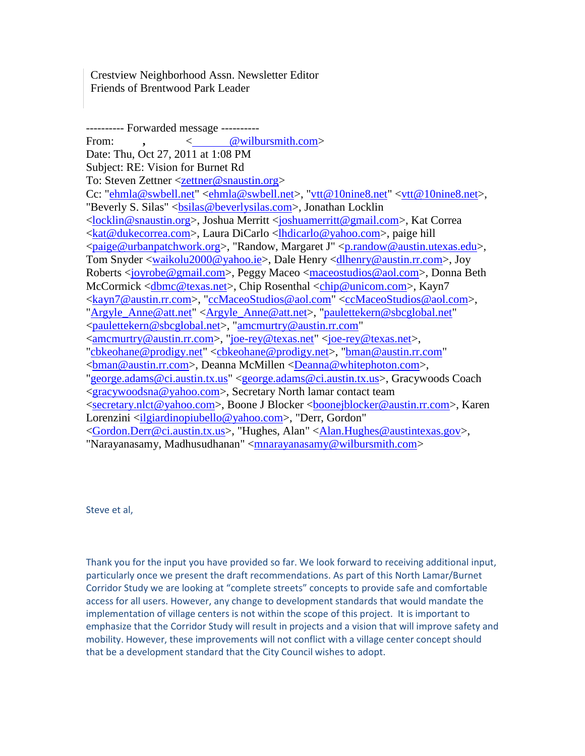Crestview Neighborhood Assn. Newsletter Editor Friends of Brentwood Park Leader

---------- Forwarded message ---------- From: **,** [< @wilbursmith.com>](mailto:KOKYERE@wilbursmith.com) Date: Thu, Oct 27, 2011 at 1:08 PM Subject: RE: Vision for Burnet Rd To: Steven Zettner [<zettner@snaustin.org>](mailto:zettner@snaustin.org) Cc: ["ehmla@swbell.net"](mailto:ehmla@swbell.net) [<ehmla@swbell.net>](mailto:ehmla@swbell.net), ["vtt@10nine8.net"](mailto:vtt@10nine8.net) [<vtt@10nine8.net>](mailto:vtt@10nine8.net), "Beverly S. Silas" <br/>bsilas@beverlysilas.com>, Jonathan Locklin [<locklin@snaustin.org>](mailto:locklin@snaustin.org), Joshua Merritt [<joshuamerritt@gmail.com>](mailto:joshuamerritt@gmail.com), Kat Correa [<kat@dukecorrea.com>](mailto:kat@dukecorrea.com), Laura DiCarlo [<lhdicarlo@yahoo.com>](mailto:lhdicarlo@yahoo.com), paige hill [<paige@urbanpatchwork.org>](mailto:paige@urbanpatchwork.org), "Randow, Margaret J" [<p.randow@austin.utexas.edu>](mailto:p.randow@austin.utexas.edu), Tom Snyder [<waikolu2000@yahoo.ie>](mailto:waikolu2000@yahoo.ie), Dale Henry [<dlhenry@austin.rr.com>](mailto:dlhenry@austin.rr.com), Joy Roberts [<joyrobe@gmail.com>](mailto:joyrobe@gmail.com), Peggy Maceo [<maceostudios@aol.com>](mailto:maceostudios@aol.com), Donna Beth McCormick [<dbmc@texas.net>](mailto:dbmc@texas.net), Chip Rosenthal [<chip@unicom.com>](mailto:chip@unicom.com), Kayn7 [<kayn7@austin.rr.com>](mailto:kayn7@austin.rr.com), ["ccMaceoStudios@aol.com"](mailto:ccMaceoStudios@aol.com) [<ccMaceoStudios@aol.com>](mailto:ccMaceoStudios@aol.com), ["Argyle\\_Anne@att.net"](mailto:Argyle_Anne@att.net) [<Argyle\\_Anne@att.net>](mailto:Argyle_Anne@att.net), ["paulettekern@sbcglobal.net"](mailto:paulettekern@sbcglobal.net) [<paulettekern@sbcglobal.net>](mailto:paulettekern@sbcglobal.net), ["amcmurtry@austin.rr.com"](mailto:amcmurtry@austin.rr.com) [<amcmurtry@austin.rr.com>](mailto:amcmurtry@austin.rr.com), ["joe-rey@texas.net"](mailto:joe-rey@texas.net) [<joe-rey@texas.net>](mailto:joe-rey@texas.net), ["cbkeohane@prodigy.net"](mailto:cbkeohane@prodigy.net) [<cbkeohane@prodigy.net>](mailto:cbkeohane@prodigy.net), ["bman@austin.rr.com"](mailto:bman@austin.rr.com) [<bman@austin.rr.com>](mailto:bman@austin.rr.com), Deanna McMillen [<Deanna@whitephoton.com>](mailto:Deanna@whitephoton.com), ["george.adams@ci.austin.tx.us"](mailto:george.adams@ci.austin.tx.us) [<george.adams@ci.austin.tx.us>](mailto:george.adams@ci.austin.tx.us), Gracywoods Coach [<gracywoodsna@yahoo.com>](mailto:gracywoodsna@yahoo.com), Secretary North lamar contact team [<secretary.nlct@yahoo.com>](mailto:secretary.nlct@yahoo.com), Boone J Blocker [<boonejblocker@austin.rr.com>](mailto:boonejblocker@austin.rr.com), Karen Lorenzini [<ilgiardinopiubello@yahoo.com>](mailto:ilgiardinopiubello@yahoo.com), "Derr, Gordon" [<Gordon.Derr@ci.austin.tx.us>](mailto:Gordon.Derr@ci.austin.tx.us), "Hughes, Alan" [<Alan.Hughes@austintexas.gov>](mailto:Alan.Hughes@austintexas.gov), "Narayanasamy, Madhusudhanan" [<mnarayanasamy@wilbursmith.com>](mailto:mnarayanasamy@wilbursmith.com)

Steve et al,

Thank you for the input you have provided so far. We look forward to receiving additional input, particularly once we present the draft recommendations. As part of this North Lamar/Burnet Corridor Study we are looking at "complete streets" concepts to provide safe and comfortable access for all users. However, any change to development standards that would mandate the implementation of village centers is not within the scope of this project. It is important to emphasize that the Corridor Study will result in projects and a vision that will improve safety and mobility. However, these improvements will not conflict with a village center concept should that be a development standard that the City Council wishes to adopt.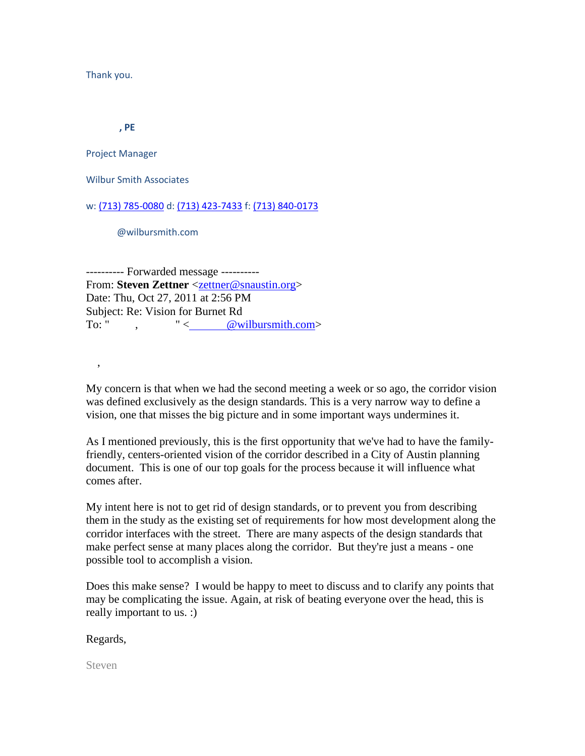Thank you.

 **, PE**

Project Manager

Wilbur Smith Associates

w: [\(713\) 785-0080](tel:%28713%29%20785-0080) d: [\(713\) 423-7433](tel:%28713%29%20423-7433) f: [\(713\) 840-0173](tel:%28713%29%20840-0173)

@wilbursmith.com

---------- Forwarded message ---------- From: **Steven Zettner** [<zettner@snaustin.org>](mailto:zettner@snaustin.org) Date: Thu, Oct 27, 2011 at 2:56 PM Subject: Re: Vision for Burnet Rd To: " ,  $"$  <  $@$  wilbursmith.com>

My concern is that when we had the second meeting a week or so ago, the corridor vision was defined exclusively as the design standards. This is a very narrow way to define a vision, one that misses the big picture and in some important ways undermines it.

As I mentioned previously, this is the first opportunity that we've had to have the familyfriendly, centers-oriented vision of the corridor described in a City of Austin planning document. This is one of our top goals for the process because it will influence what comes after.

My intent here is not to get rid of design standards, or to prevent you from describing them in the study as the existing set of requirements for how most development along the corridor interfaces with the street. There are many aspects of the design standards that make perfect sense at many places along the corridor. But they're just a means - one possible tool to accomplish a vision.

Does this make sense? I would be happy to meet to discuss and to clarify any points that may be complicating the issue. Again, at risk of beating everyone over the head, this is really important to us. :)

Regards,

,

Steven